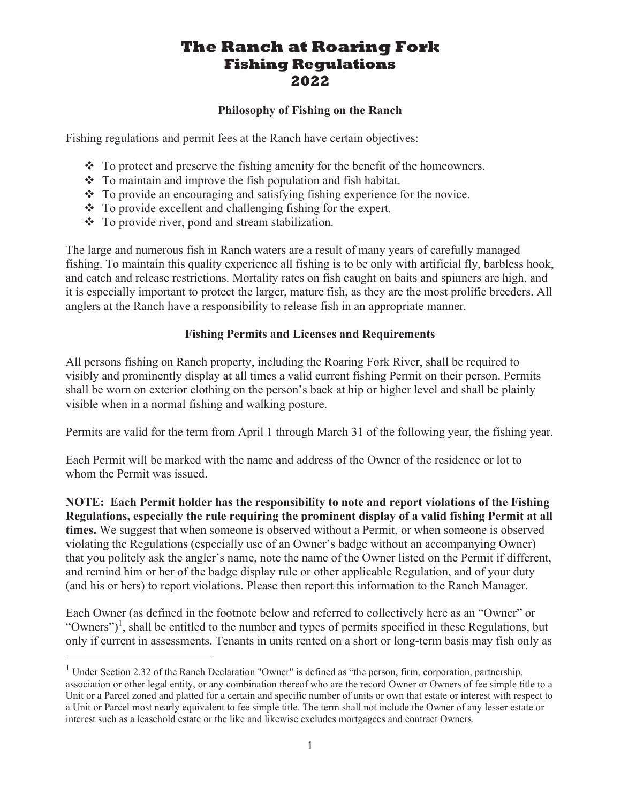# The Ranch at Roaring Fork Fishing Regulations 2022

#### Philosophy of Fishing on the Ranch

Fishing regulations and permit fees at the Ranch have certain objectives:

- $\bullet$  To protect and preserve the fishing amenity for the benefit of the homeowners.
- $\div$  To maintain and improve the fish population and fish habitat.
- $\bullet$  To provide an encouraging and satisfying fishing experience for the novice.
- $\div$  To provide excellent and challenging fishing for the expert.
- To provide river, pond and stream stabilization.

The large and numerous fish in Ranch waters are a result of many years of carefully managed fishing. To maintain this quality experience all fishing is to be only with artificial fly, barbless hook, and catch and release restrictions. Mortality rates on fish caught on baits and spinners are high, and it is especially important to protect the larger, mature fish, as they are the most prolific breeders. All anglers at the Ranch have a responsibility to release fish in an appropriate manner.

#### Fishing Permits and Licenses and Requirements

All persons fishing on Ranch property, including the Roaring Fork River, shall be required to visibly and prominently display at all times a valid current fishing Permit on their person. Permits shall be worn on exterior clothing on the person's back at hip or higher level and shall be plainly visible when in a normal fishing and walking posture.

Permits are valid for the term from April 1 through March 31 of the following year, the fishing year.

Each Permit will be marked with the name and address of the Owner of the residence or lot to whom the Permit was issued.

NOTE: Each Permit holder has the responsibility to note and report violations of the Fishing Regulations, especially the rule requiring the prominent display of a valid fishing Permit at all times. We suggest that when someone is observed without a Permit, or when someone is observed violating the Regulations (especially use of an Owner's badge without an accompanying Owner) that you politely ask the angler's name, note the name of the Owner listed on the Permit if different, and remind him or her of the badge display rule or other applicable Regulation, and of your duty (and his or hers) to report violations. Please then report this information to the Ranch Manager.

Each Owner (as defined in the footnote below and referred to collectively here as an "Owner" or "Owners")<sup>1</sup>, shall be entitled to the number and types of permits specified in these Regulations, but only if current in assessments. Tenants in units rented on a short or long-term basis may fish only as

<sup>&</sup>lt;sup>1</sup> Under Section 2.32 of the Ranch Declaration "Owner" is defined as "the person, firm, corporation, partnership, association or other legal entity, or any combination thereof who are the record Owner or Owners of fee simple title to a Unit or a Parcel zoned and platted for a certain and specific number of units or own that estate or interest with respect to a Unit or Parcel most nearly equivalent to fee simple title. The term shall not include the Owner of any lesser estate or interest such as a leasehold estate or the like and likewise excludes mortgagees and contract Owners.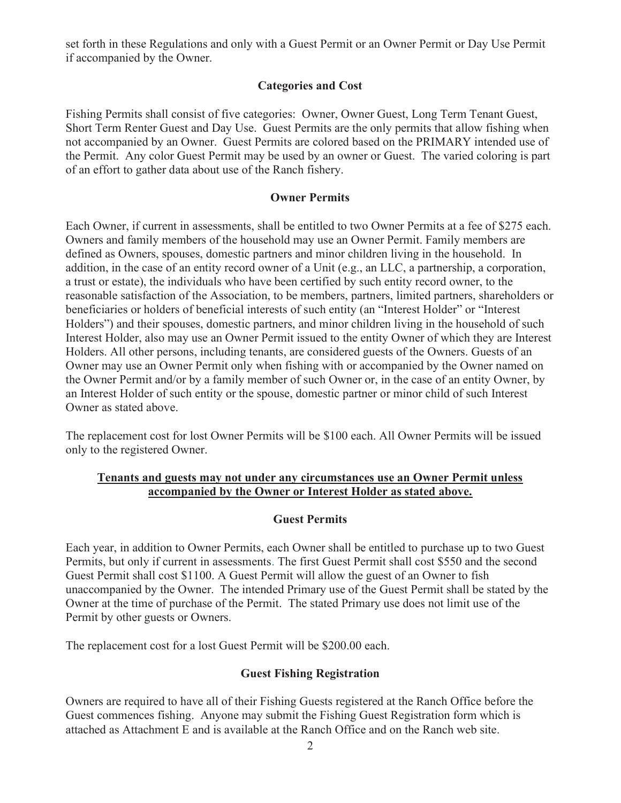set forth in these Regulations and only with a Guest Permit or an Owner Permit or Day Use Permit if accompanied by the Owner.

#### Categories and Cost

Fishing Permits shall consist of five categories: Owner, Owner Guest, Long Term Tenant Guest, Short Term Renter Guest and Day Use. Guest Permits are the only permits that allow fishing when not accompanied by an Owner. Guest Permits are colored based on the PRIMARY intended use of the Permit. Any color Guest Permit may be used by an owner or Guest. The varied coloring is part of an effort to gather data about use of the Ranch fishery.

#### Owner Permits

Each Owner, if current in assessments, shall be entitled to two Owner Permits at a fee of \$275 each. Owners and family members of the household may use an Owner Permit. Family members are defined as Owners, spouses, domestic partners and minor children living in the household. In addition, in the case of an entity record owner of a Unit (e.g., an LLC, a partnership, a corporation, a trust or estate), the individuals who have been certified by such entity record owner, to the reasonable satisfaction of the Association, to be members, partners, limited partners, shareholders or beneficiaries or holders of beneficial interests of such entity (an "Interest Holder" or "Interest Holders") and their spouses, domestic partners, and minor children living in the household of such Interest Holder, also may use an Owner Permit issued to the entity Owner of which they are Interest Holders. All other persons, including tenants, are considered guests of the Owners. Guests of an Owner may use an Owner Permit only when fishing with or accompanied by the Owner named on the Owner Permit and/or by a family member of such Owner or, in the case of an entity Owner, by an Interest Holder of such entity or the spouse, domestic partner or minor child of such Interest Owner as stated above.

The replacement cost for lost Owner Permits will be \$100 each. All Owner Permits will be issued only to the registered Owner.

#### Tenants and guests may not under any circumstances use an Owner Permit unless accompanied by the Owner or Interest Holder as stated above.

#### Guest Permits

Each year, in addition to Owner Permits, each Owner shall be entitled to purchase up to two Guest Permits, but only if current in assessments. The first Guest Permit shall cost \$550 and the second Guest Permit shall cost \$1100. A Guest Permit will allow the guest of an Owner to fish unaccompanied by the Owner. The intended Primary use of the Guest Permit shall be stated by the Owner at the time of purchase of the Permit. The stated Primary use does not limit use of the Permit by other guests or Owners.

The replacement cost for a lost Guest Permit will be \$200.00 each.

#### Guest Fishing Registration

Owners are required to have all of their Fishing Guests registered at the Ranch Office before the Guest commences fishing. Anyone may submit the Fishing Guest Registration form which is attached as Attachment E and is available at the Ranch Office and on the Ranch web site.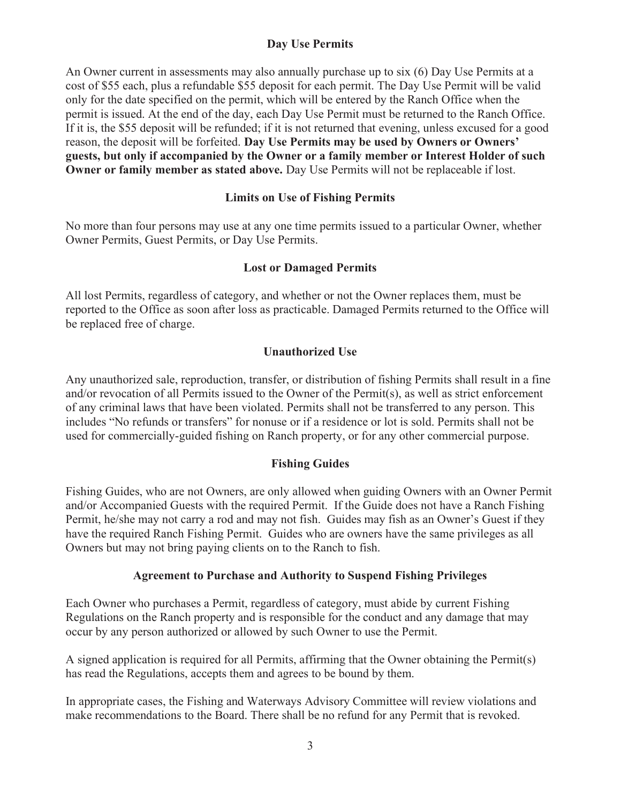## Day Use Permits

An Owner current in assessments may also annually purchase up to six (6) Day Use Permits at a cost of \$55 each, plus a refundable \$55 deposit for each permit. The Day Use Permit will be valid only for the date specified on the permit, which will be entered by the Ranch Office when the permit is issued. At the end of the day, each Day Use Permit must be returned to the Ranch Office. If it is, the \$55 deposit will be refunded; if it is not returned that evening, unless excused for a good reason, the deposit will be forfeited. Day Use Permits may be used by Owners or Owners' guests, but only if accompanied by the Owner or a family member or Interest Holder of such Owner or family member as stated above. Day Use Permits will not be replaceable if lost.

#### Limits on Use of Fishing Permits

No more than four persons may use at any one time permits issued to a particular Owner, whether Owner Permits, Guest Permits, or Day Use Permits.

#### Lost or Damaged Permits

All lost Permits, regardless of category, and whether or not the Owner replaces them, must be reported to the Office as soon after loss as practicable. Damaged Permits returned to the Office will be replaced free of charge.

## Unauthorized Use

Any unauthorized sale, reproduction, transfer, or distribution of fishing Permits shall result in a fine and/or revocation of all Permits issued to the Owner of the Permit(s), as well as strict enforcement of any criminal laws that have been violated. Permits shall not be transferred to any person. This includes "No refunds or transfers" for nonuse or if a residence or lot is sold. Permits shall not be used for commercially-guided fishing on Ranch property, or for any other commercial purpose.

## Fishing Guides

Fishing Guides, who are not Owners, are only allowed when guiding Owners with an Owner Permit and/or Accompanied Guests with the required Permit. If the Guide does not have a Ranch Fishing Permit, he/she may not carry a rod and may not fish. Guides may fish as an Owner's Guest if they have the required Ranch Fishing Permit. Guides who are owners have the same privileges as all Owners but may not bring paying clients on to the Ranch to fish.

#### Agreement to Purchase and Authority to Suspend Fishing Privileges

Each Owner who purchases a Permit, regardless of category, must abide by current Fishing Regulations on the Ranch property and is responsible for the conduct and any damage that may occur by any person authorized or allowed by such Owner to use the Permit.

A signed application is required for all Permits, affirming that the Owner obtaining the Permit(s) has read the Regulations, accepts them and agrees to be bound by them.

In appropriate cases, the Fishing and Waterways Advisory Committee will review violations and make recommendations to the Board. There shall be no refund for any Permit that is revoked.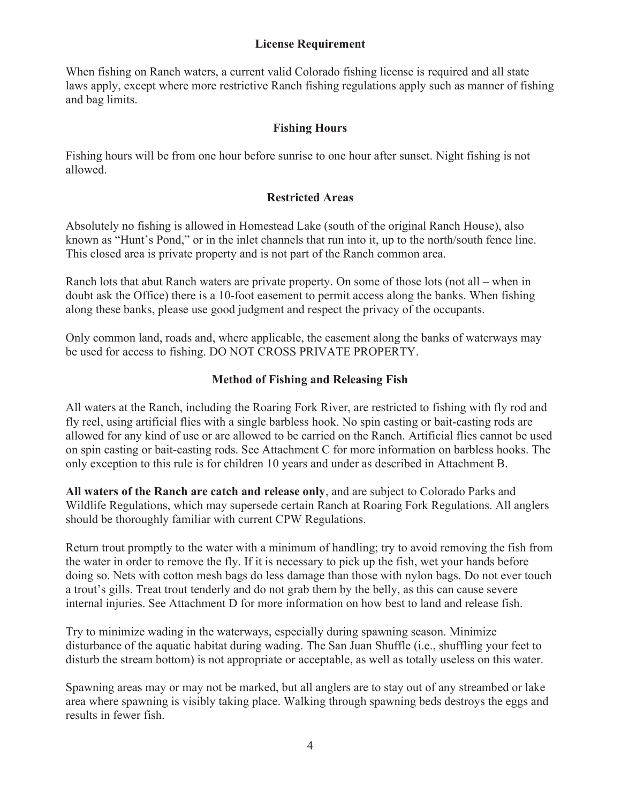#### License Requirement

When fishing on Ranch waters, a current valid Colorado fishing license is required and all state laws apply, except where more restrictive Ranch fishing regulations apply such as manner of fishing and bag limits.

## Fishing Hours

Fishing hours will be from one hour before sunrise to one hour after sunset. Night fishing is not allowed.

#### Restricted Areas

Absolutely no fishing is allowed in Homestead Lake (south of the original Ranch House), also known as "Hunt's Pond," or in the inlet channels that run into it, up to the north/south fence line. This closed area is private property and is not part of the Ranch common area.

Ranch lots that abut Ranch waters are private property. On some of those lots (not all – when in doubt ask the Office) there is a 10-foot easement to permit access along the banks. When fishing along these banks, please use good judgment and respect the privacy of the occupants.

Only common land, roads and, where applicable, the easement along the banks of waterways may be used for access to fishing. DO NOT CROSS PRIVATE PROPERTY.

## Method of Fishing and Releasing Fish

All waters at the Ranch, including the Roaring Fork River, are restricted to fishing with fly rod and fly reel, using artificial flies with a single barbless hook. No spin casting or bait-casting rods are allowed for any kind of use or are allowed to be carried on the Ranch. Artificial flies cannot be used on spin casting or bait-casting rods. See Attachment C for more information on barbless hooks. The only exception to this rule is for children 10 years and under as described in Attachment B.

All waters of the Ranch are catch and release only, and are subject to Colorado Parks and Wildlife Regulations, which may supersede certain Ranch at Roaring Fork Regulations. All anglers should be thoroughly familiar with current CPW Regulations.

Return trout promptly to the water with a minimum of handling; try to avoid removing the fish from the water in order to remove the fly. If it is necessary to pick up the fish, wet your hands before doing so. Nets with cotton mesh bags do less damage than those with nylon bags. Do not ever touch a trout's gills. Treat trout tenderly and do not grab them by the belly, as this can cause severe internal injuries. See Attachment D for more information on how best to land and release fish.

Try to minimize wading in the waterways, especially during spawning season. Minimize disturbance of the aquatic habitat during wading. The San Juan Shuffle (i.e., shuffling your feet to disturb the stream bottom) is not appropriate or acceptable, as well as totally useless on this water.

Spawning areas may or may not be marked, but all anglers are to stay out of any streambed or lake area where spawning is visibly taking place. Walking through spawning beds destroys the eggs and results in fewer fish.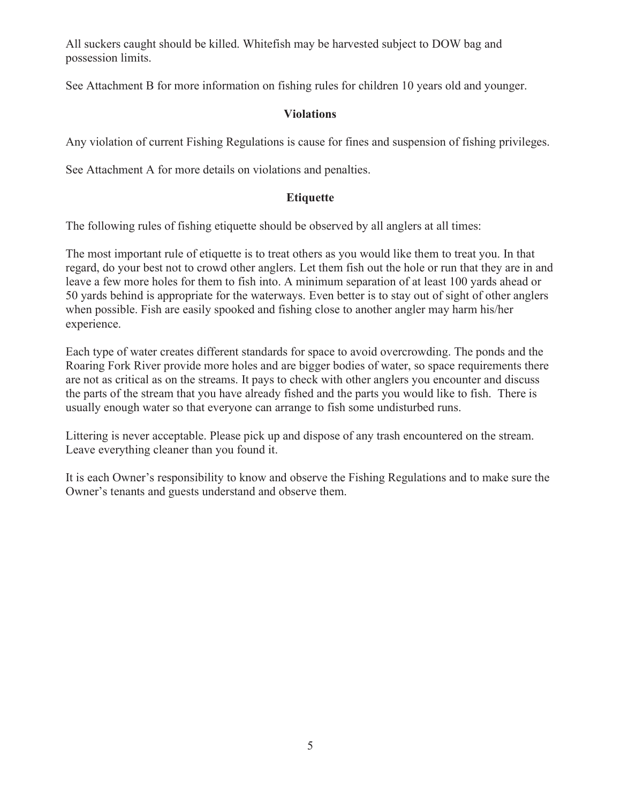All suckers caught should be killed. Whitefish may be harvested subject to DOW bag and possession limits.

See Attachment B for more information on fishing rules for children 10 years old and younger.

#### **Violations**

Any violation of current Fishing Regulations is cause for fines and suspension of fishing privileges.

See Attachment A for more details on violations and penalties.

#### Etiquette

The following rules of fishing etiquette should be observed by all anglers at all times:

The most important rule of etiquette is to treat others as you would like them to treat you. In that regard, do your best not to crowd other anglers. Let them fish out the hole or run that they are in and leave a few more holes for them to fish into. A minimum separation of at least 100 yards ahead or 50 yards behind is appropriate for the waterways. Even better is to stay out of sight of other anglers when possible. Fish are easily spooked and fishing close to another angler may harm his/her experience.

Each type of water creates different standards for space to avoid overcrowding. The ponds and the Roaring Fork River provide more holes and are bigger bodies of water, so space requirements there are not as critical as on the streams. It pays to check with other anglers you encounter and discuss the parts of the stream that you have already fished and the parts you would like to fish. There is usually enough water so that everyone can arrange to fish some undisturbed runs.

Littering is never acceptable. Please pick up and dispose of any trash encountered on the stream. Leave everything cleaner than you found it.

It is each Owner's responsibility to know and observe the Fishing Regulations and to make sure the Owner's tenants and guests understand and observe them.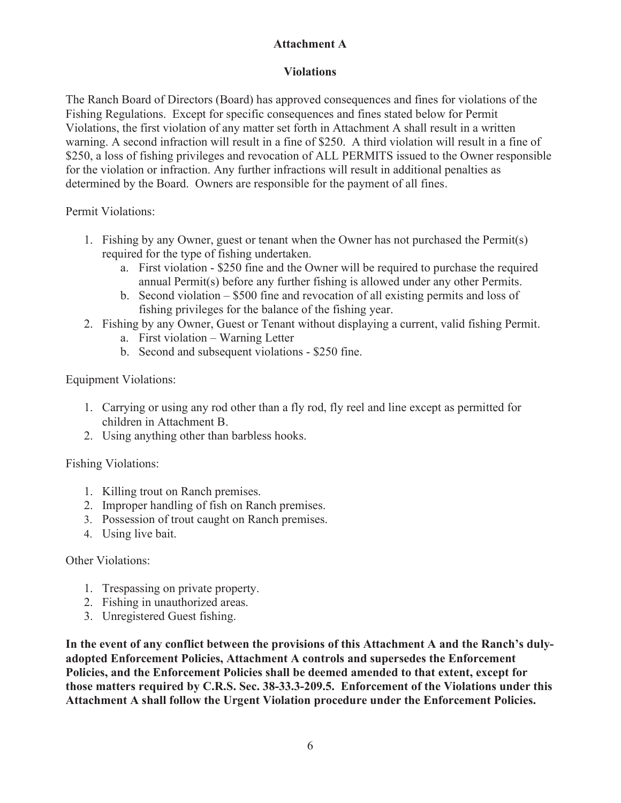# Attachment A

## Violations

The Ranch Board of Directors (Board) has approved consequences and fines for violations of the Fishing Regulations. Except for specific consequences and fines stated below for Permit Violations, the first violation of any matter set forth in Attachment A shall result in a written warning. A second infraction will result in a fine of \$250. A third violation will result in a fine of \$250, a loss of fishing privileges and revocation of ALL PERMITS issued to the Owner responsible for the violation or infraction. Any further infractions will result in additional penalties as determined by the Board. Owners are responsible for the payment of all fines.

Permit Violations:

- 1. Fishing by any Owner, guest or tenant when the Owner has not purchased the Permit(s) required for the type of fishing undertaken.
	- a. First violation \$250 fine and the Owner will be required to purchase the required annual Permit(s) before any further fishing is allowed under any other Permits.
	- b. Second violation \$500 fine and revocation of all existing permits and loss of fishing privileges for the balance of the fishing year.
- 2. Fishing by any Owner, Guest or Tenant without displaying a current, valid fishing Permit.
	- a. First violation Warning Letter
	- b. Second and subsequent violations \$250 fine.

Equipment Violations:

- 1. Carrying or using any rod other than a fly rod, fly reel and line except as permitted for children in Attachment B.
- 2. Using anything other than barbless hooks.

Fishing Violations:

- 1. Killing trout on Ranch premises.
- 2. Improper handling of fish on Ranch premises.
- 3. Possession of trout caught on Ranch premises.
- 4. Using live bait.

Other Violations:

- 1. Trespassing on private property.
- 2. Fishing in unauthorized areas.
- 3. Unregistered Guest fishing.

In the event of any conflict between the provisions of this Attachment A and the Ranch's dulyadopted Enforcement Policies, Attachment A controls and supersedes the Enforcement Policies, and the Enforcement Policies shall be deemed amended to that extent, except for those matters required by C.R.S. Sec. 38-33.3-209.5. Enforcement of the Violations under this Attachment A shall follow the Urgent Violation procedure under the Enforcement Policies.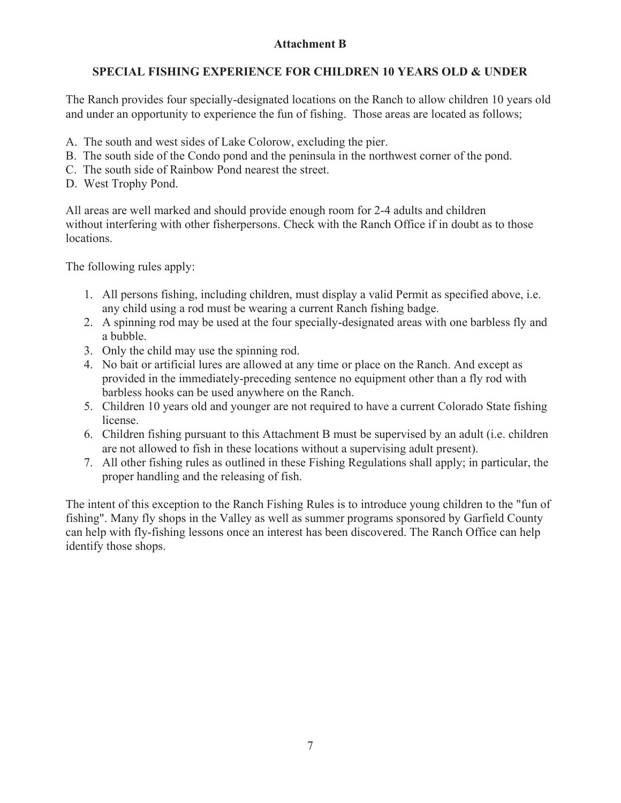# Attachment B

# SPECIAL FISHING EXPERIENCE FOR CHILDREN 10 YEARS OLD & UNDER

The Ranch provides four specially-designated locations on the Ranch to allow children 10 years old and under an opportunity to experience the fun of fishing. Those areas are located as follows;

- A. The south and west sides of Lake Colorow, excluding the pier.
- B. The south side of the Condo pond and the peninsula in the northwest corner of the pond.
- C. The south side of Rainbow Pond nearest the street.
- D. West Trophy Pond.

All areas are well marked and should provide enough room for 2-4 adults and children without interfering with other fisherpersons. Check with the Ranch Office if in doubt as to those locations.

The following rules apply:

- 1. All persons fishing, including children, must display a valid Permit as specified above, i.e. any child using a rod must be wearing a current Ranch fishing badge.
- 2. A spinning rod may be used at the four specially-designated areas with one barbless fly and a bubble.
- 3. Only the child may use the spinning rod.
- 4. No bait or artificial lures are allowed at any time or place on the Ranch. And except as provided in the immediately-preceding sentence no equipment other than a fly rod with barbless hooks can be used anywhere on the Ranch.
- 5. Children 10 years old and younger are not required to have a current Colorado State fishing license.
- 6. Children fishing pursuant to this Attachment B must be supervised by an adult (i.e. children are not allowed to fish in these locations without a supervising adult present).
- 7. All other fishing rules as outlined in these Fishing Regulations shall apply; in particular, the proper handling and the releasing of fish.

The intent of this exception to the Ranch Fishing Rules is to introduce young children to the "fun of fishing". Many fly shops in the Valley as well as summer programs sponsored by Garfield County can help with fly-fishing lessons once an interest has been discovered. The Ranch Office can help identify those shops.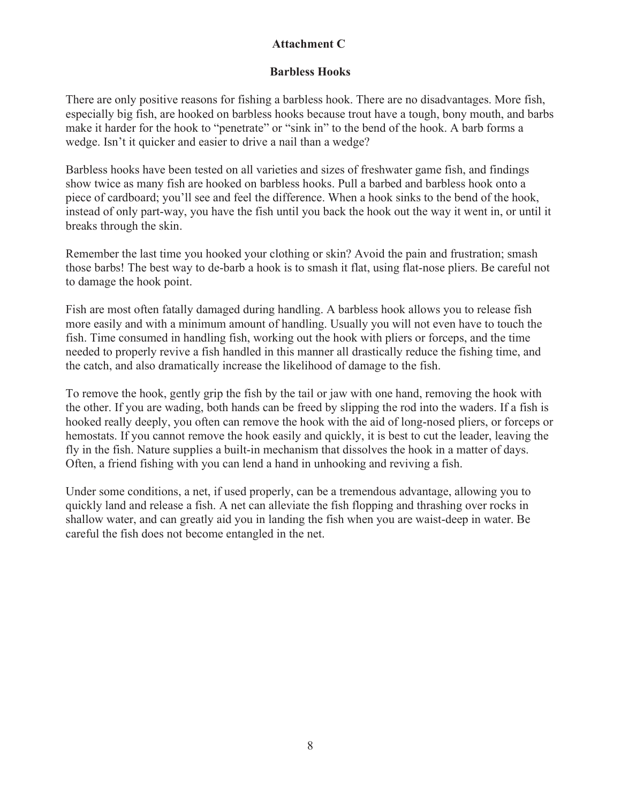# Attachment C

## Barbless Hooks

There are only positive reasons for fishing a barbless hook. There are no disadvantages. More fish, especially big fish, are hooked on barbless hooks because trout have a tough, bony mouth, and barbs make it harder for the hook to "penetrate" or "sink in" to the bend of the hook. A barb forms a wedge. Isn't it quicker and easier to drive a nail than a wedge?

Barbless hooks have been tested on all varieties and sizes of freshwater game fish, and findings show twice as many fish are hooked on barbless hooks. Pull a barbed and barbless hook onto a piece of cardboard; you'll see and feel the difference. When a hook sinks to the bend of the hook, instead of only part-way, you have the fish until you back the hook out the way it went in, or until it breaks through the skin.

Remember the last time you hooked your clothing or skin? Avoid the pain and frustration; smash those barbs! The best way to de-barb a hook is to smash it flat, using flat-nose pliers. Be careful not to damage the hook point.

Fish are most often fatally damaged during handling. A barbless hook allows you to release fish more easily and with a minimum amount of handling. Usually you will not even have to touch the fish. Time consumed in handling fish, working out the hook with pliers or forceps, and the time needed to properly revive a fish handled in this manner all drastically reduce the fishing time, and the catch, and also dramatically increase the likelihood of damage to the fish.

To remove the hook, gently grip the fish by the tail or jaw with one hand, removing the hook with the other. If you are wading, both hands can be freed by slipping the rod into the waders. If a fish is hooked really deeply, you often can remove the hook with the aid of long-nosed pliers, or forceps or hemostats. If you cannot remove the hook easily and quickly, it is best to cut the leader, leaving the fly in the fish. Nature supplies a built-in mechanism that dissolves the hook in a matter of days. Often, a friend fishing with you can lend a hand in unhooking and reviving a fish.

Under some conditions, a net, if used properly, can be a tremendous advantage, allowing you to quickly land and release a fish. A net can alleviate the fish flopping and thrashing over rocks in shallow water, and can greatly aid you in landing the fish when you are waist-deep in water. Be careful the fish does not become entangled in the net.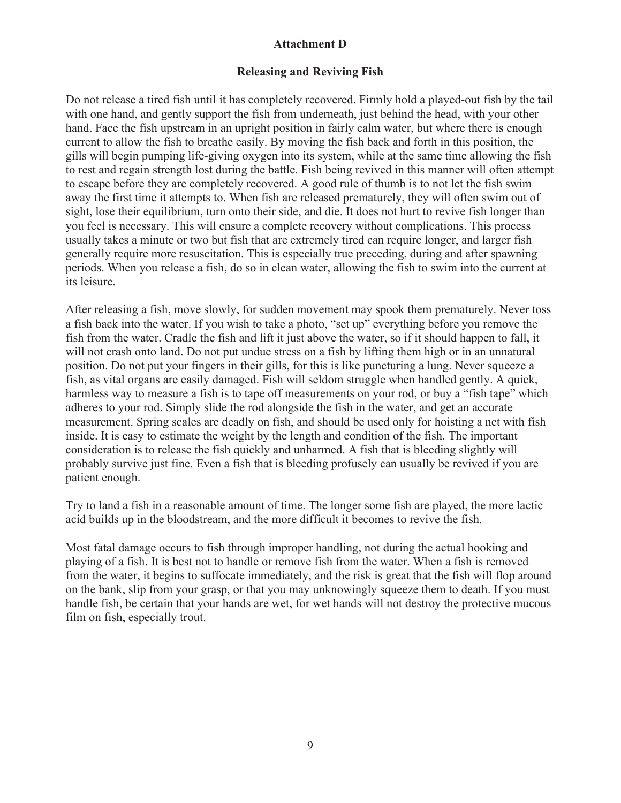#### Attachment D

#### Releasing and Reviving Fish

Do not release a tired fish until it has completely recovered. Firmly hold a played-out fish by the tail with one hand, and gently support the fish from underneath, just behind the head, with your other hand. Face the fish upstream in an upright position in fairly calm water, but where there is enough current to allow the fish to breathe easily. By moving the fish back and forth in this position, the gills will begin pumping life-giving oxygen into its system, while at the same time allowing the fish to rest and regain strength lost during the battle. Fish being revived in this manner will often attempt to escape before they are completely recovered. A good rule of thumb is to not let the fish swim away the first time it attempts to. When fish are released prematurely, they will often swim out of sight, lose their equilibrium, turn onto their side, and die. It does not hurt to revive fish longer than you feel is necessary. This will ensure a complete recovery without complications. This process usually takes a minute or two but fish that are extremely tired can require longer, and larger fish generally require more resuscitation. This is especially true preceding, during and after spawning periods. When you release a fish, do so in clean water, allowing the fish to swim into the current at its leisure.

After releasing a fish, move slowly, for sudden movement may spook them prematurely. Never toss a fish back into the water. If you wish to take a photo, "set up" everything before you remove the fish from the water. Cradle the fish and lift it just above the water, so if it should happen to fall, it will not crash onto land. Do not put undue stress on a fish by lifting them high or in an unnatural position. Do not put your fingers in their gills, for this is like puncturing a lung. Never squeeze a fish, as vital organs are easily damaged. Fish will seldom struggle when handled gently. A quick, harmless way to measure a fish is to tape off measurements on your rod, or buy a "fish tape" which adheres to your rod. Simply slide the rod alongside the fish in the water, and get an accurate measurement. Spring scales are deadly on fish, and should be used only for hoisting a net with fish inside. It is easy to estimate the weight by the length and condition of the fish. The important consideration is to release the fish quickly and unharmed. A fish that is bleeding slightly will probably survive just fine. Even a fish that is bleeding profusely can usually be revived if you are patient enough.

Try to land a fish in a reasonable amount of time. The longer some fish are played, the more lactic acid builds up in the bloodstream, and the more difficult it becomes to revive the fish.

Most fatal damage occurs to fish through improper handling, not during the actual hooking and playing of a fish. It is best not to handle or remove fish from the water. When a fish is removed from the water, it begins to suffocate immediately, and the risk is great that the fish will flop around on the bank, slip from your grasp, or that you may unknowingly squeeze them to death. If you must handle fish, be certain that your hands are wet, for wet hands will not destroy the protective mucous film on fish, especially trout.